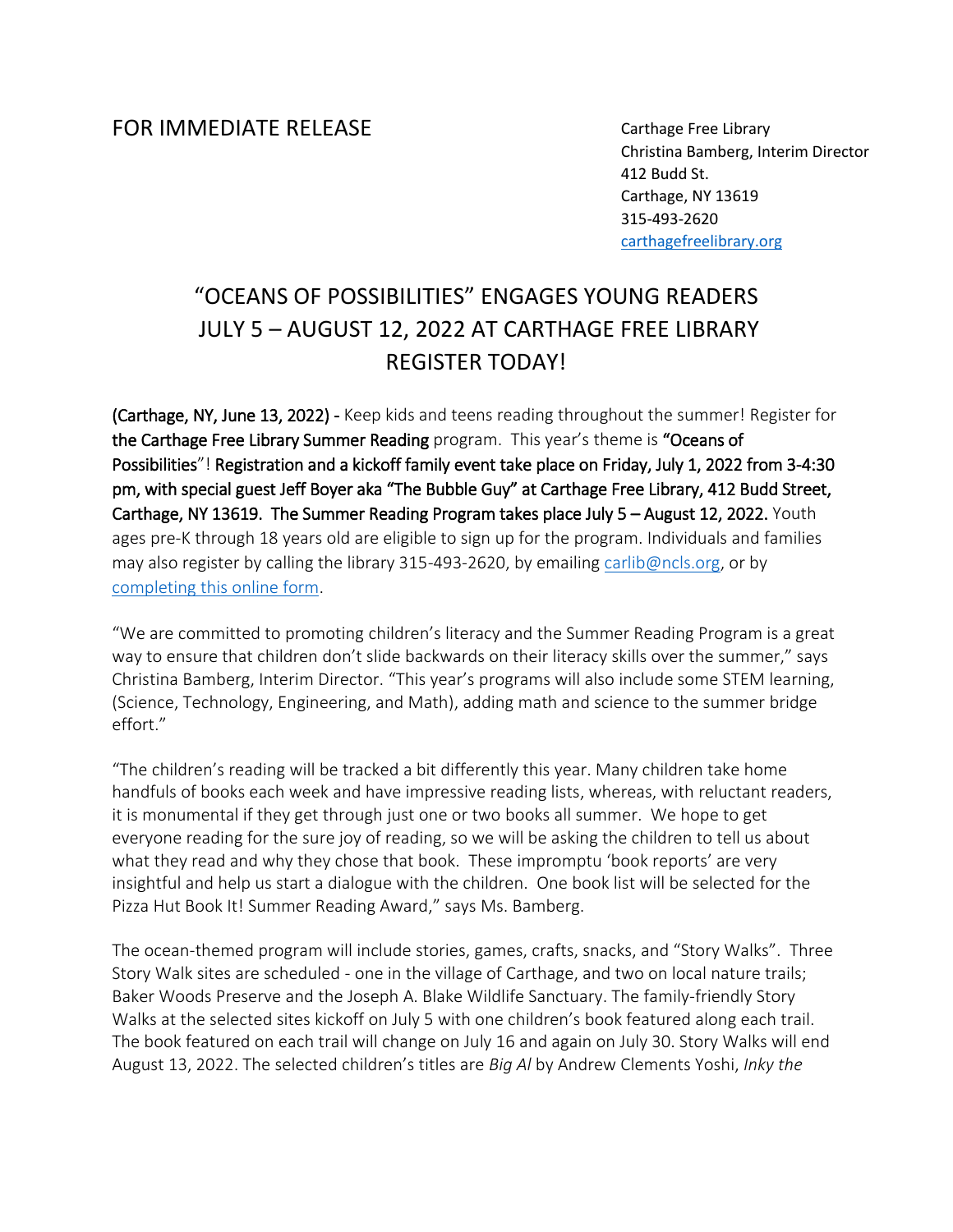## FOR IMMEDIATE RELEASE

Carthage Free Library Christina Bamberg, Interim Director 412 Budd St. Carthage, NY 13619 315-493-2620 [carthagefreelibrary.org](https://www.carthagefreelibrary.org/)

## "OCEANS OF POSSIBILITIES" ENGAGES YOUNG READERS JULY 5 – AUGUST 12, 2022 AT CARTHAGE FREE LIBRARY REGISTER TODAY!

(Carthage, NY, June 13, 2022) - Keep kids and teens reading throughout the summer! Register for the Carthage Free Library Summer Reading program. This year's theme is "Oceans of Possibilities"! Registration and a kickoff family event take place on Friday, July 1, 2022 from 3-4:30 pm, with special guest Jeff Boyer aka "The Bubble Guy" at Carthage Free Library, 412 Budd Street, Carthage, NY 13619. The Summer Reading Program takes place July 5 – August 12, 2022. Youth ages pre-K through 18 years old are eligible to sign up for the program. Individuals and families may also register by calling the library 315-493-2620, by emailing [carlib@ncls.org,](mailto:carlib@ncls.org) or by [completing this online form.](https://forms.gle/oXEp6shADVDzMegb9)

"We are committed to promoting children's literacy and the Summer Reading Program is a great way to ensure that children don't slide backwards on their literacy skills over the summer," says Christina Bamberg, Interim Director. "This year's programs will also include some STEM learning, (Science, Technology, Engineering, and Math), adding math and science to the summer bridge effort."

"The children's reading will be tracked a bit differently this year. Many children take home handfuls of books each week and have impressive reading lists, whereas, with reluctant readers, it is monumental if they get through just one or two books all summer. We hope to get everyone reading for the sure joy of reading, so we will be asking the children to tell us about what they read and why they chose that book. These impromptu 'book reports' are very insightful and help us start a dialogue with the children. One book list will be selected for the Pizza Hut Book It! Summer Reading Award," says Ms. Bamberg.

The ocean-themed program will include stories, games, crafts, snacks, and "Story Walks". Three Story Walk sites are scheduled - one in the village of Carthage, and two on local nature trails; Baker Woods Preserve and the Joseph A. Blake Wildlife Sanctuary. The family-friendly Story Walks at the selected sites kickoff on July 5 with one children's book featured along each trail. The book featured on each trail will change on July 16 and again on July 30. Story Walks will end August 13, 2022. The selected children's titles are *Big Al* by Andrew Clements Yoshi, *Inky the*